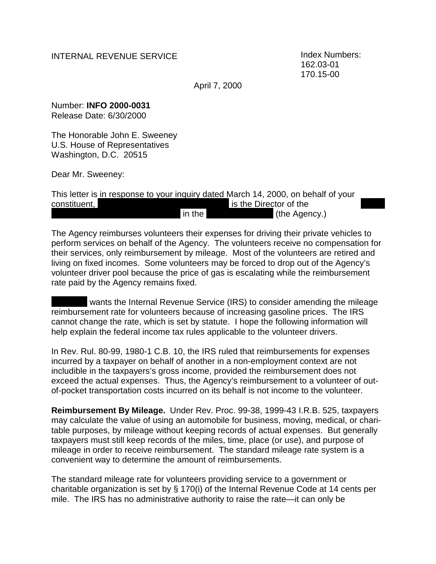## INTERNAL REVENUE SERVICE

Index Numbers: 162.03-01 170.15-00

April 7, 2000

Number: **INFO 2000-0031** Release Date: 6/30/2000

The Honorable John E. Sweeney U.S. House of Representatives Washington, D.C. 20515

Dear Mr. Sweeney:

This letter is in response to your inquiry dated March 14, 2000, on behalf of your constituent, is the Director of the in the (the Agency.)

The Agency reimburses volunteers their expenses for driving their private vehicles to perform services on behalf of the Agency. The volunteers receive no compensation for their services, only reimbursement by mileage. Most of the volunteers are retired and living on fixed incomes. Some volunteers may be forced to drop out of the Agency's volunteer driver pool because the price of gas is escalating while the reimbursement rate paid by the Agency remains fixed.

 wants the Internal Revenue Service (IRS) to consider amending the mileage reimbursement rate for volunteers because of increasing gasoline prices. The IRS cannot change the rate, which is set by statute. I hope the following information will help explain the federal income tax rules applicable to the volunteer drivers.

In Rev. Rul. 80-99, 1980-1 C.B. 10, the IRS ruled that reimbursements for expenses incurred by a taxpayer on behalf of another in a non-employment context are not includible in the taxpayers's gross income, provided the reimbursement does not exceed the actual expenses. Thus, the Agency's reimbursement to a volunteer of outof-pocket transportation costs incurred on its behalf is not income to the volunteer.

**Reimbursement By Mileage.** Under Rev. Proc. 99-38, 1999-43 I.R.B. 525, taxpayers may calculate the value of using an automobile for business, moving, medical, or charitable purposes, by mileage without keeping records of actual expenses. But generally taxpayers must still keep records of the miles, time, place (or use), and purpose of mileage in order to receive reimbursement. The standard mileage rate system is a convenient way to determine the amount of reimbursements.

The standard mileage rate for volunteers providing service to a government or charitable organization is set by § 170(i) of the Internal Revenue Code at 14 cents per mile. The IRS has no administrative authority to raise the rate—it can only be